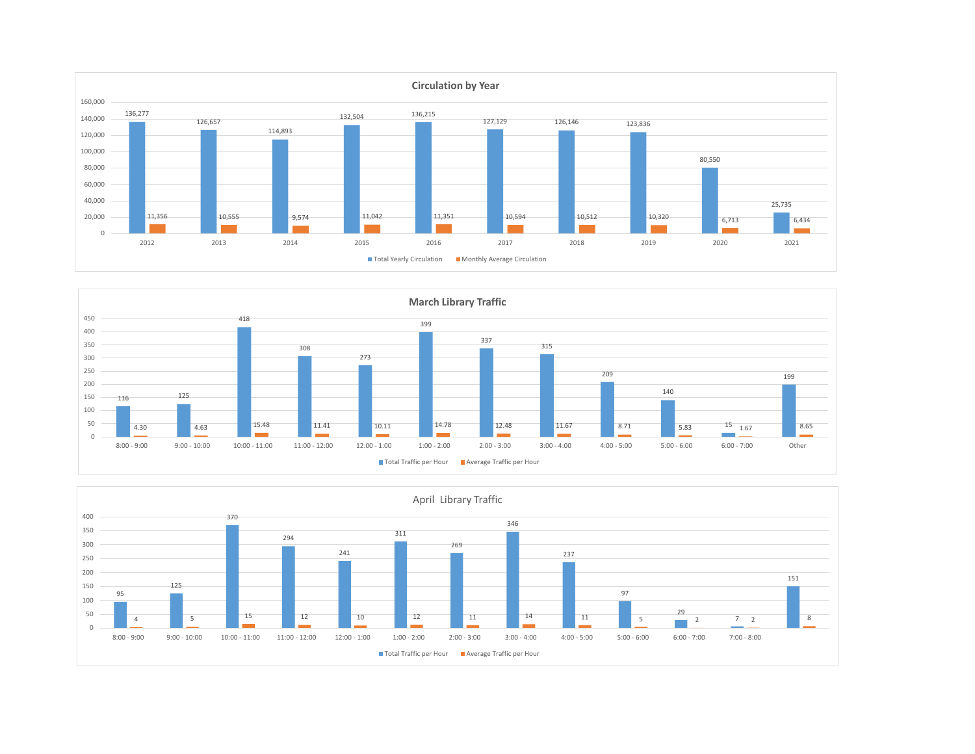



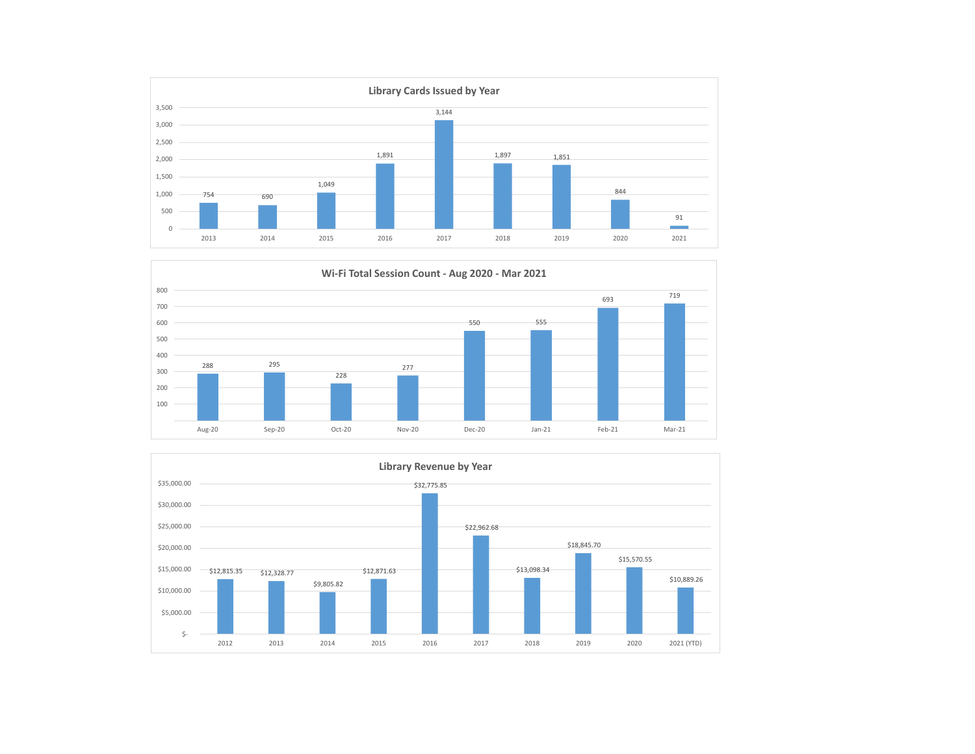